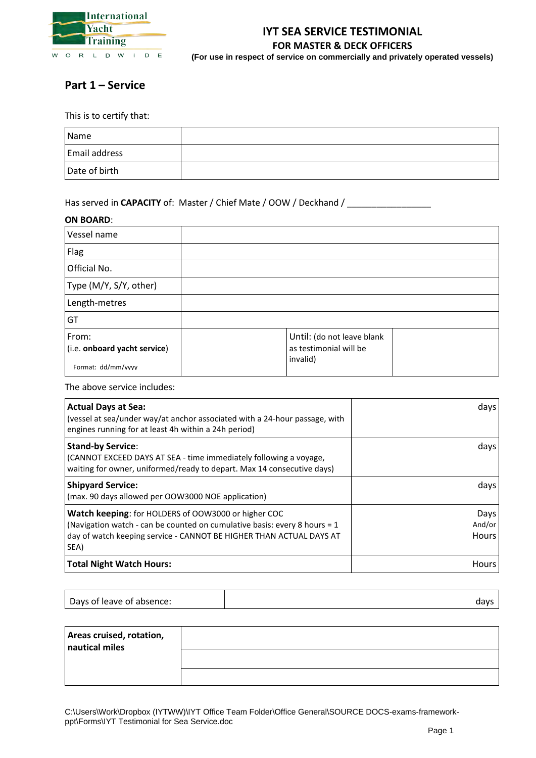

# **Part 1 – Service**

This is to certify that:

| Name                 |  |
|----------------------|--|
| <b>Email address</b> |  |
| Date of birth        |  |

### Has served in CAPACITY of: Master / Chief Mate / OOW / Deckhand / \_\_\_\_\_\_\_\_\_\_\_\_\_\_

### **ON BOARD**:

| Vessel name                                                 |                                                                  |  |
|-------------------------------------------------------------|------------------------------------------------------------------|--|
| Flag                                                        |                                                                  |  |
| Official No.                                                |                                                                  |  |
| Type (M/Y, S/Y, other)                                      |                                                                  |  |
| Length-metres                                               |                                                                  |  |
| GT                                                          |                                                                  |  |
| From:<br>(i.e. onboard yacht service)<br>Format: dd/mm/vvvv | Until: (do not leave blank<br>as testimonial will be<br>invalid) |  |

The above service includes:

| <b>Actual Days at Sea:</b><br>(vessel at sea/under way/at anchor associated with a 24-hour passage, with<br>engines running for at least 4h within a 24h period)                                                | days                    |
|-----------------------------------------------------------------------------------------------------------------------------------------------------------------------------------------------------------------|-------------------------|
| <b>Stand-by Service:</b><br>(CANNOT EXCEED DAYS AT SEA - time immediately following a voyage,<br>waiting for owner, uniformed/ready to depart. Max 14 consecutive days)                                         | days                    |
| <b>Shipyard Service:</b><br>(max. 90 days allowed per OOW3000 NOE application)                                                                                                                                  | days                    |
| Watch keeping: for HOLDERS of OOW3000 or higher COC<br>(Navigation watch - can be counted on cumulative basis: every 8 hours = 1<br>day of watch keeping service - CANNOT BE HIGHER THAN ACTUAL DAYS AT<br>SEA) | Days<br>And/or<br>Hours |
| <b>Total Night Watch Hours:</b>                                                                                                                                                                                 | <b>Hours</b>            |

| Areas cruised, rotation,<br>nautical miles |  |
|--------------------------------------------|--|
|                                            |  |
|                                            |  |